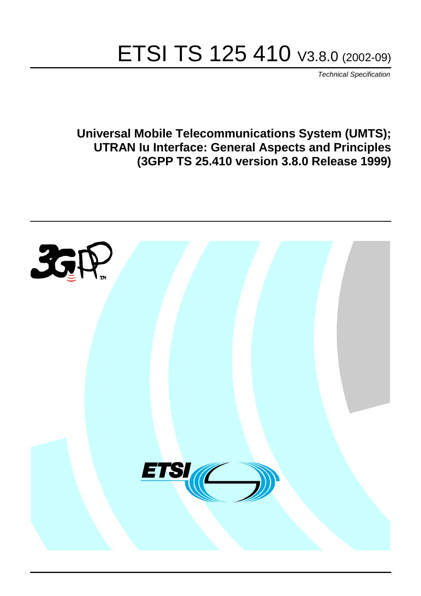# ETSI TS 125 410 V3.8.0 (2002-09)

Technical Specification

**Universal Mobile Telecommunications System (UMTS); UTRAN Iu Interface: General Aspects and Principles (3GPP TS 25.410 version 3.8.0 Release 1999)**

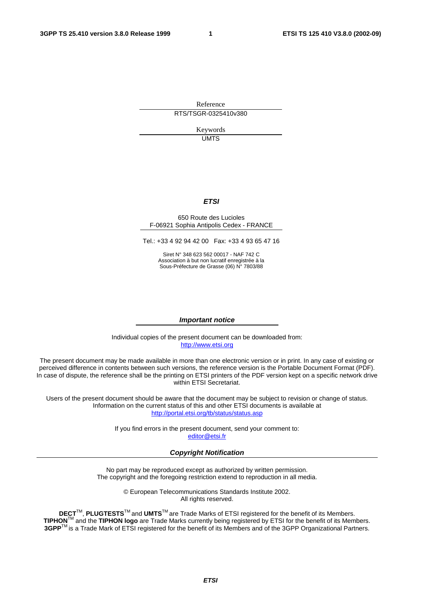Reference RTS/TSGR-0325410v380

> Keywords UMTS

#### **ETSI**

#### 650 Route des Lucioles F-06921 Sophia Antipolis Cedex - FRANCE

Tel.: +33 4 92 94 42 00 Fax: +33 4 93 65 47 16

Siret N° 348 623 562 00017 - NAF 742 C Association à but non lucratif enregistrée à la Sous-Préfecture de Grasse (06) N° 7803/88

#### **Important notice**

Individual copies of the present document can be downloaded from: [http://www.etsi.org](http://www.etsi.org/)

The present document may be made available in more than one electronic version or in print. In any case of existing or perceived difference in contents between such versions, the reference version is the Portable Document Format (PDF). In case of dispute, the reference shall be the printing on ETSI printers of the PDF version kept on a specific network drive within ETSI Secretariat.

Users of the present document should be aware that the document may be subject to revision or change of status. Information on the current status of this and other ETSI documents is available at <http://portal.etsi.org/tb/status/status.asp>

> If you find errors in the present document, send your comment to: [editor@etsi.fr](mailto:editor@etsi.fr)

#### **Copyright Notification**

No part may be reproduced except as authorized by written permission. The copyright and the foregoing restriction extend to reproduction in all media.

> © European Telecommunications Standards Institute 2002. All rights reserved.

**DECT**TM, **PLUGTESTS**TM and **UMTS**TM are Trade Marks of ETSI registered for the benefit of its Members. **TIPHON**TM and the **TIPHON logo** are Trade Marks currently being registered by ETSI for the benefit of its Members. **3GPP**TM is a Trade Mark of ETSI registered for the benefit of its Members and of the 3GPP Organizational Partners.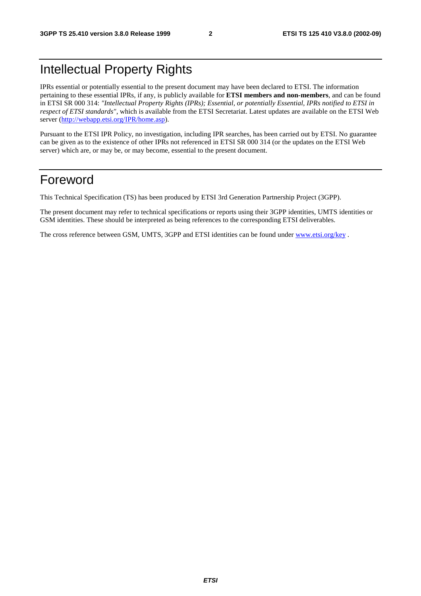# Intellectual Property Rights

IPRs essential or potentially essential to the present document may have been declared to ETSI. The information pertaining to these essential IPRs, if any, is publicly available for **ETSI members and non-members**, and can be found in ETSI SR 000 314: *"Intellectual Property Rights (IPRs); Essential, or potentially Essential, IPRs notified to ETSI in respect of ETSI standards"*, which is available from the ETSI Secretariat. Latest updates are available on the ETSI Web server (<http://webapp.etsi.org/IPR/home.asp>).

Pursuant to the ETSI IPR Policy, no investigation, including IPR searches, has been carried out by ETSI. No guarantee can be given as to the existence of other IPRs not referenced in ETSI SR 000 314 (or the updates on the ETSI Web server) which are, or may be, or may become, essential to the present document.

# Foreword

This Technical Specification (TS) has been produced by ETSI 3rd Generation Partnership Project (3GPP).

The present document may refer to technical specifications or reports using their 3GPP identities, UMTS identities or GSM identities. These should be interpreted as being references to the corresponding ETSI deliverables.

The cross reference between GSM, UMTS, 3GPP and ETSI identities can be found under [www.etsi.org/key](http://www.etsi.org/key) .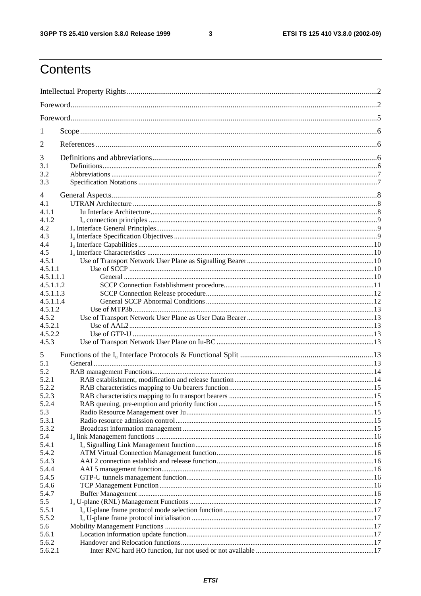$\mathbf{3}$ 

# Contents

| 1                      |  |  |  |  |  |
|------------------------|--|--|--|--|--|
| 2                      |  |  |  |  |  |
| 3                      |  |  |  |  |  |
| 3.1<br>3.2             |  |  |  |  |  |
| 3.3                    |  |  |  |  |  |
| 4                      |  |  |  |  |  |
| 4.1                    |  |  |  |  |  |
| 4.1.1                  |  |  |  |  |  |
| 4.1.2                  |  |  |  |  |  |
| 4.2                    |  |  |  |  |  |
| 4.3                    |  |  |  |  |  |
| 4.4                    |  |  |  |  |  |
| 4.5                    |  |  |  |  |  |
| 4.5.1                  |  |  |  |  |  |
| 4.5.1.1                |  |  |  |  |  |
| 4.5.1.1.1<br>4.5.1.1.2 |  |  |  |  |  |
| 4.5.1.1.3              |  |  |  |  |  |
| 4.5.1.1.4              |  |  |  |  |  |
| 4.5.1.2                |  |  |  |  |  |
| 4.5.2                  |  |  |  |  |  |
| 4.5.2.1                |  |  |  |  |  |
| 4.5.2.2                |  |  |  |  |  |
| 4.5.3                  |  |  |  |  |  |
| 5                      |  |  |  |  |  |
| 5.1                    |  |  |  |  |  |
| 5.2                    |  |  |  |  |  |
| 5.2.1                  |  |  |  |  |  |
| 5.2.2                  |  |  |  |  |  |
| 5.2.3                  |  |  |  |  |  |
| 5.2.4                  |  |  |  |  |  |
| 5.3                    |  |  |  |  |  |
| 5.3.1                  |  |  |  |  |  |
| 5.3.2                  |  |  |  |  |  |
| 5.4                    |  |  |  |  |  |
| 5.4.1                  |  |  |  |  |  |
| 5.4.2                  |  |  |  |  |  |
| 5.4.3                  |  |  |  |  |  |
| 5.4.4                  |  |  |  |  |  |
| 5.4.5                  |  |  |  |  |  |
| 5.4.6<br>5.4.7         |  |  |  |  |  |
| 5.5                    |  |  |  |  |  |
| 5.5.1                  |  |  |  |  |  |
| 5.5.2                  |  |  |  |  |  |
| 5.6                    |  |  |  |  |  |
| 5.6.1                  |  |  |  |  |  |
| 5.6.2                  |  |  |  |  |  |
| 5.6.2.1                |  |  |  |  |  |
|                        |  |  |  |  |  |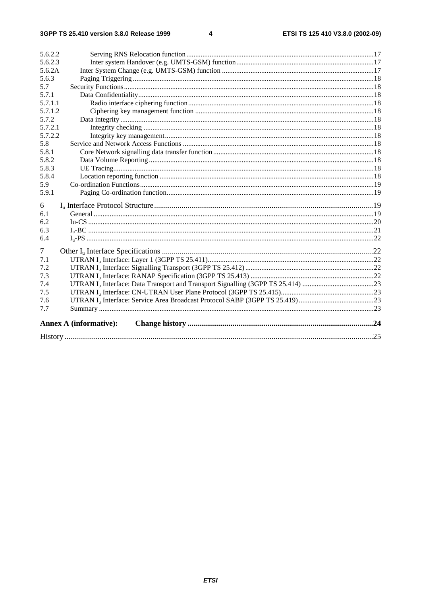#### $\overline{\mathbf{4}}$

| 5.6.2.2 |                               |  |  |  |
|---------|-------------------------------|--|--|--|
| 5.6.2.3 |                               |  |  |  |
| 5.6.2A  |                               |  |  |  |
| 5.6.3   |                               |  |  |  |
| 5.7     |                               |  |  |  |
| 5.7.1   |                               |  |  |  |
| 5.7.1.1 |                               |  |  |  |
| 5.7.1.2 |                               |  |  |  |
| 5.7.2   |                               |  |  |  |
| 5.7.2.1 |                               |  |  |  |
| 5.7.2.2 |                               |  |  |  |
| 5.8     |                               |  |  |  |
| 5.8.1   |                               |  |  |  |
| 5.8.2   |                               |  |  |  |
| 5.8.3   |                               |  |  |  |
| 5.8.4   |                               |  |  |  |
| 5.9     |                               |  |  |  |
| 5.9.1   |                               |  |  |  |
| 6       |                               |  |  |  |
| 6.1     |                               |  |  |  |
| 6.2     |                               |  |  |  |
| 6.3     |                               |  |  |  |
| 6.4     |                               |  |  |  |
| 7       |                               |  |  |  |
| 7.1     |                               |  |  |  |
| 7.2     |                               |  |  |  |
| 7.3     |                               |  |  |  |
| 7.4     |                               |  |  |  |
| 7.5     |                               |  |  |  |
| 7.6     |                               |  |  |  |
| 7.7     |                               |  |  |  |
|         | <b>Annex A (informative):</b> |  |  |  |
|         |                               |  |  |  |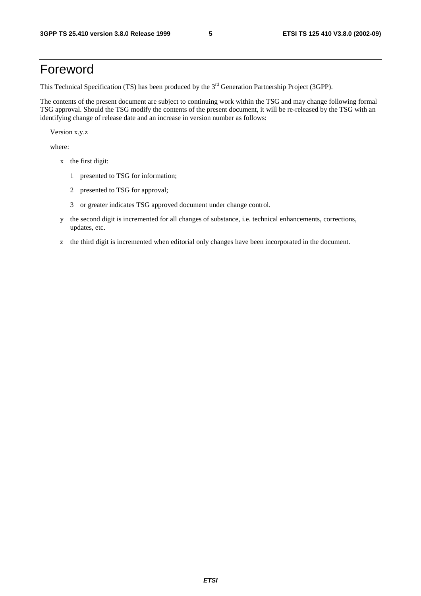# Foreword

This Technical Specification (TS) has been produced by the 3<sup>rd</sup> Generation Partnership Project (3GPP).

The contents of the present document are subject to continuing work within the TSG and may change following formal TSG approval. Should the TSG modify the contents of the present document, it will be re-released by the TSG with an identifying change of release date and an increase in version number as follows:

Version x.y.z

where:

- x the first digit:
	- 1 presented to TSG for information;
	- 2 presented to TSG for approval;
	- 3 or greater indicates TSG approved document under change control.
- y the second digit is incremented for all changes of substance, i.e. technical enhancements, corrections, updates, etc.
- z the third digit is incremented when editorial only changes have been incorporated in the document.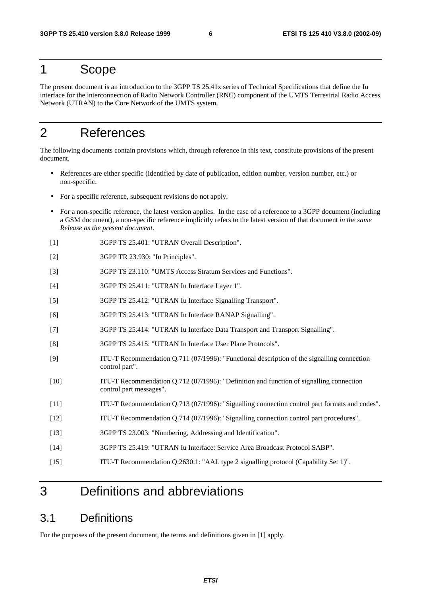### 1 Scope

The present document is an introduction to the 3GPP TS 25.41x series of Technical Specifications that define the Iu interface for the interconnection of Radio Network Controller (RNC) component of the UMTS Terrestrial Radio Access Network (UTRAN) to the Core Network of the UMTS system.

# 2 References

The following documents contain provisions which, through reference in this text, constitute provisions of the present document.

- References are either specific (identified by date of publication, edition number, version number, etc.) or non-specific.
- For a specific reference, subsequent revisions do not apply.
- For a non-specific reference, the latest version applies. In the case of a reference to a 3GPP document (including a GSM document), a non-specific reference implicitly refers to the latest version of that document *in the same Release as the present document*.
- [1] 3GPP TS 25.401: "UTRAN Overall Description".
- [2] 3GPP TR 23.930: "Iu Principles".
- [3] 3GPP TS 23.110: "UMTS Access Stratum Services and Functions".
- [4] 3GPP TS 25.411: "UTRAN Iu Interface Layer 1".
- [5] 3GPP TS 25.412: "UTRAN Iu Interface Signalling Transport".
- [6] 3GPP TS 25.413: "UTRAN Iu Interface RANAP Signalling".
- [7] 3GPP TS 25.414: "UTRAN Iu Interface Data Transport and Transport Signalling".
- [8] 3GPP TS 25.415: "UTRAN Iu Interface User Plane Protocols".
- [9] ITU-T Recommendation Q.711 (07/1996): "Functional description of the signalling connection control part".
- [10] ITU-T Recommendation Q.712 (07/1996): "Definition and function of signalling connection control part messages".
- [11] ITU-T Recommendation Q.713 (07/1996): "Signalling connection control part formats and codes".
- [12] ITU-T Recommendation Q.714 (07/1996): "Signalling connection control part procedures".
- [13] 3GPP TS 23.003: "Numbering, Addressing and Identification".
- [14] 3GPP TS 25.419: "UTRAN Iu Interface: Service Area Broadcast Protocol SABP".
- [15] ITU-T Recommendation Q.2630.1: "AAL type 2 signalling protocol (Capability Set 1)".

# 3 Definitions and abbreviations

### 3.1 Definitions

For the purposes of the present document, the terms and definitions given in [1] apply.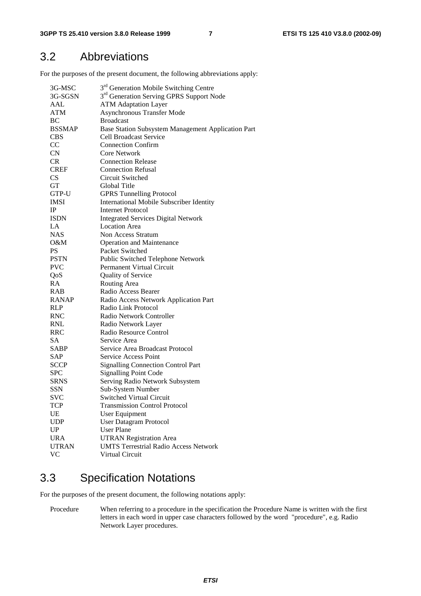### 3.2 Abbreviations

For the purposes of the present document, the following abbreviations apply:

| 3G-MSC        | 3 <sup>rd</sup> Generation Mobile Switching Centre   |
|---------------|------------------------------------------------------|
| 3G-SGSN       | 3 <sup>rd</sup> Generation Serving GPRS Support Node |
| AAL           | <b>ATM Adaptation Layer</b>                          |
| <b>ATM</b>    | <b>Asynchronous Transfer Mode</b>                    |
| <b>BC</b>     | <b>Broadcast</b>                                     |
| <b>BSSMAP</b> | Base Station Subsystem Management Application Part   |
| <b>CBS</b>    | <b>Cell Broadcast Service</b>                        |
| CC            | <b>Connection Confirm</b>                            |
| CN            | <b>Core Network</b>                                  |
| <b>CR</b>     | <b>Connection Release</b>                            |
| <b>CREF</b>   | <b>Connection Refusal</b>                            |
| <b>CS</b>     | Circuit Switched                                     |
| GT            | Global Title                                         |
| GTP-U         | <b>GPRS Tunnelling Protocol</b>                      |
| <b>IMSI</b>   | <b>International Mobile Subscriber Identity</b>      |
| IP            | <b>Internet Protocol</b>                             |
| <b>ISDN</b>   | <b>Integrated Services Digital Network</b>           |
| LA            | <b>Location Area</b>                                 |
| <b>NAS</b>    | Non Access Stratum                                   |
| $O\&M$        | <b>Operation and Maintenance</b>                     |
| <b>PS</b>     | Packet Switched                                      |
| <b>PSTN</b>   | Public Switched Telephone Network                    |
| <b>PVC</b>    | Permanent Virtual Circuit                            |
| QoS           | Quality of Service                                   |
| RA            | Routing Area                                         |
| <b>RAB</b>    | Radio Access Bearer                                  |
| RANAP         | Radio Access Network Application Part                |
| <b>RLP</b>    | Radio Link Protocol                                  |
| <b>RNC</b>    | Radio Network Controller                             |
| <b>RNL</b>    | Radio Network Layer                                  |
| <b>RRC</b>    | Radio Resource Control                               |
| <b>SA</b>     | Service Area                                         |
| SABP          | Service Area Broadcast Protocol                      |
| <b>SAP</b>    | Service Access Point                                 |
| <b>SCCP</b>   | <b>Signalling Connection Control Part</b>            |
| <b>SPC</b>    |                                                      |
|               | <b>Signalling Point Code</b>                         |
| <b>SRNS</b>   | Serving Radio Network Subsystem                      |
| <b>SSN</b>    | Sub-System Number                                    |
| <b>SVC</b>    | Switched Virtual Circuit                             |
| <b>TCP</b>    | <b>Transmission Control Protocol</b>                 |
| UE            | User Equipment                                       |
| <b>UDP</b>    | <b>User Datagram Protocol</b>                        |
| UP            | <b>User Plane</b>                                    |
| <b>URA</b>    | <b>UTRAN Registration Area</b>                       |
| <b>UTRAN</b>  | <b>UMTS Terrestrial Radio Access Network</b>         |
| <b>VC</b>     | Virtual Circuit                                      |

# 3.3 Specification Notations

For the purposes of the present document, the following notations apply:

Procedure When referring to a procedure in the specification the Procedure Name is written with the first letters in each word in upper case characters followed by the word "procedure", e.g. Radio Network Layer procedures.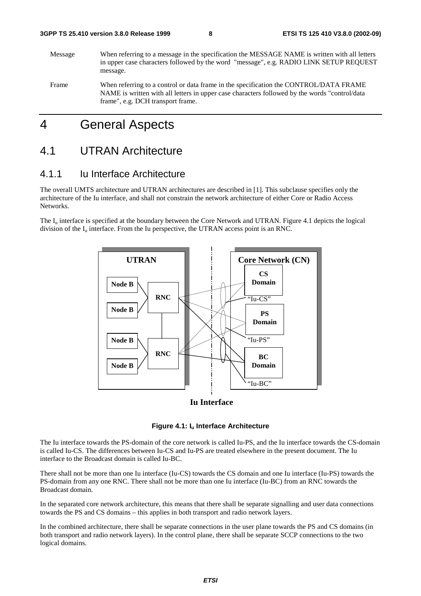Message When referring to a message in the specification the MESSAGE NAME is written with all letters in upper case characters followed by the word "message", e.g. RADIO LINK SETUP REQUEST message. Frame When referring to a control or data frame in the specification the CONTROL/DATA FRAME NAME is written with all letters in upper case characters followed by the words "control/data

# 4 General Aspects

frame", e.g. DCH transport frame.

### 4.1 UTRAN Architecture

### 4.1.1 Iu Interface Architecture

The overall UMTS architecture and UTRAN architectures are described in [1]. This subclause specifies only the architecture of the Iu interface, and shall not constrain the network architecture of either Core or Radio Access Networks.

The  $I_{\text{u}}$  interface is specified at the boundary between the Core Network and UTRAN. Figure 4.1 depicts the logical division of the  $I_{\mu}$  interface. From the Iu perspective, the UTRAN access point is an RNC.



#### **Iu Interface**

#### **Figure 4.1: Iu Interface Architecture**

The Iu interface towards the PS-domain of the core network is called Iu-PS, and the Iu interface towards the CS-domain is called Iu-CS. The differences between Iu-CS and Iu-PS are treated elsewhere in the present document. The Iu interface to the Broadcast domain is called Iu-BC.

There shall not be more than one Iu interface (Iu-CS) towards the CS domain and one Iu interface (Iu-PS) towards the PS-domain from any one RNC. There shall not be more than one Iu interface (Iu-BC) from an RNC towards the Broadcast domain.

In the separated core network architecture, this means that there shall be separate signalling and user data connections towards the PS and CS domains – this applies in both transport and radio network layers.

In the combined architecture, there shall be separate connections in the user plane towards the PS and CS domains (in both transport and radio network layers). In the control plane, there shall be separate SCCP connections to the two logical domains.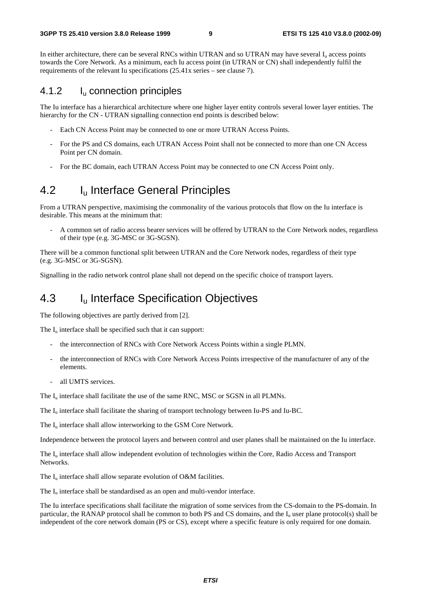In either architecture, there can be several RNCs within UTRAN and so UTRAN may have several I<sub>n</sub> access points towards the Core Network. As a minimum, each Iu access point (in UTRAN or CN) shall independently fulfil the requirements of the relevant Iu specifications (25.41x series – see clause 7).

### 4.1.2 Iu connection principles

The Iu interface has a hierarchical architecture where one higher layer entity controls several lower layer entities. The hierarchy for the CN - UTRAN signalling connection end points is described below:

- Each CN Access Point may be connected to one or more UTRAN Access Points.
- For the PS and CS domains, each UTRAN Access Point shall not be connected to more than one CN Access Point per CN domain.
- For the BC domain, each UTRAN Access Point may be connected to one CN Access Point only.

## 4.2 I<sub>u</sub> Interface General Principles

From a UTRAN perspective, maximising the commonality of the various protocols that flow on the Iu interface is desirable. This means at the minimum that:

- A common set of radio access bearer services will be offered by UTRAN to the Core Network nodes, regardless of their type (e.g. 3G-MSC or 3G-SGSN).

There will be a common functional split between UTRAN and the Core Network nodes, regardless of their type (e.g. 3G-MSC or 3G-SGSN).

Signalling in the radio network control plane shall not depend on the specific choice of transport layers.

## 4.3 Iu Interface Specification Objectives

The following objectives are partly derived from [2].

The  $I_{\nu}$  interface shall be specified such that it can support:

- the interconnection of RNCs with Core Network Access Points within a single PLMN.
- the interconnection of RNCs with Core Network Access Points irrespective of the manufacturer of any of the elements.
- all UMTS services.

The  $I_u$  interface shall facilitate the use of the same RNC, MSC or SGSN in all PLMNs.

The Iu interface shall facilitate the sharing of transport technology between Iu-PS and Iu-BC.

The I<sub>u</sub> interface shall allow interworking to the GSM Core Network.

Independence between the protocol layers and between control and user planes shall be maintained on the Iu interface.

The  $I_{\text{u}}$  interface shall allow independent evolution of technologies within the Core, Radio Access and Transport Networks.

The  $I_{\text{u}}$  interface shall allow separate evolution of O&M facilities.

The  $I_u$  interface shall be standardised as an open and multi-vendor interface.

The Iu interface specifications shall facilitate the migration of some services from the CS-domain to the PS-domain. In particular, the RANAP protocol shall be common to both PS and CS domains, and the  $I_u$  user plane protocol(s) shall be independent of the core network domain (PS or CS), except where a specific feature is only required for one domain.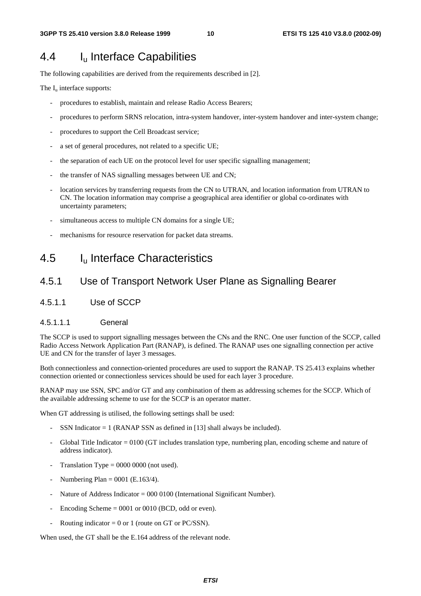# 4.4 Iu Interface Capabilities

The following capabilities are derived from the requirements described in [2].

The  $I_u$  interface supports:

- procedures to establish, maintain and release Radio Access Bearers;
- procedures to perform SRNS relocation, intra-system handover, inter-system handover and inter-system change;
- procedures to support the Cell Broadcast service;
- a set of general procedures, not related to a specific UE;
- the separation of each UE on the protocol level for user specific signalling management;
- the transfer of NAS signalling messages between UE and CN;
- location services by transferring requests from the CN to UTRAN, and location information from UTRAN to CN. The location information may comprise a geographical area identifier or global co-ordinates with uncertainty parameters;
- simultaneous access to multiple CN domains for a single UE;
- mechanisms for resource reservation for packet data streams.

# 4.5 Iu Interface Characteristics

### 4.5.1 Use of Transport Network User Plane as Signalling Bearer

4.5.1.1 Use of SCCP

#### 4.5.1.1.1 General

The SCCP is used to support signalling messages between the CNs and the RNC. One user function of the SCCP, called Radio Access Network Application Part (RANAP), is defined. The RANAP uses one signalling connection per active UE and CN for the transfer of layer 3 messages.

Both connectionless and connection-oriented procedures are used to support the RANAP. TS 25.413 explains whether connection oriented or connectionless services should be used for each layer 3 procedure.

RANAP may use SSN, SPC and/or GT and any combination of them as addressing schemes for the SCCP. Which of the available addressing scheme to use for the SCCP is an operator matter.

When GT addressing is utilised, the following settings shall be used:

- SSN Indicator  $= 1$  (RANAP SSN as defined in [13] shall always be included).
- Global Title Indicator = 0100 (GT includes translation type, numbering plan, encoding scheme and nature of address indicator).
- Translation Type  $= 0000 0000$  (not used).
- Numbering Plan =  $0001$  (E.163/4).
- Nature of Address Indicator = 000 0100 (International Significant Number).
- Encoding Scheme  $= 0001$  or 0010 (BCD, odd or even).
- Routing indicator = 0 or 1 (route on GT or PC/SSN).

When used, the GT shall be the E.164 address of the relevant node.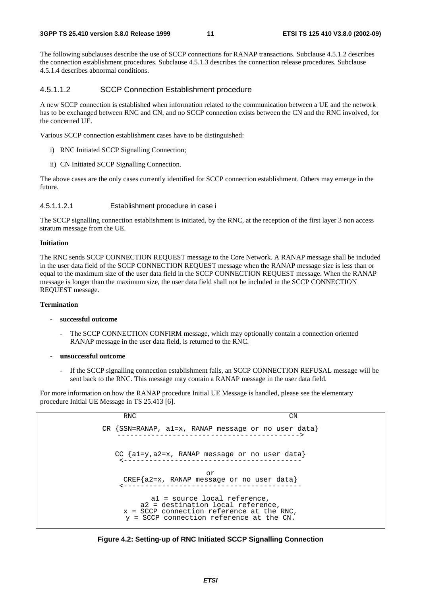The following subclauses describe the use of SCCP connections for RANAP transactions. Subclause 4.5.1.2 describes the connection establishment procedures. Subclause 4.5.1.3 describes the connection release procedures. Subclause 4.5.1.4 describes abnormal conditions.

#### 4.5.1.1.2 SCCP Connection Establishment procedure

A new SCCP connection is established when information related to the communication between a UE and the network has to be exchanged between RNC and CN, and no SCCP connection exists between the CN and the RNC involved, for the concerned UE.

Various SCCP connection establishment cases have to be distinguished:

- i) RNC Initiated SCCP Signalling Connection;
- ii) CN Initiated SCCP Signalling Connection.

The above cases are the only cases currently identified for SCCP connection establishment. Others may emerge in the future.

#### 4.5.1.1.2.1 Establishment procedure in case i

The SCCP signalling connection establishment is initiated, by the RNC, at the reception of the first layer 3 non access stratum message from the UE.

#### **Initiation**

The RNC sends SCCP CONNECTION REQUEST message to the Core Network. A RANAP message shall be included in the user data field of the SCCP CONNECTION REQUEST message when the RANAP message size is less than or equal to the maximum size of the user data field in the SCCP CONNECTION REQUEST message. When the RANAP message is longer than the maximum size, the user data field shall not be included in the SCCP CONNECTION REQUEST message.

#### **Termination**

- **successful outcome** 
	- The SCCP CONNECTION CONFIRM message, which may optionally contain a connection oriented RANAP message in the user data field, is returned to the RNC.
- **unsuccessful outcome** 
	- If the SCCP signalling connection establishment fails, an SCCP CONNECTION REFUSAL message will be sent back to the RNC. This message may contain a RANAP message in the user data field.

For more information on how the RANAP procedure Initial UE Message is handled, please see the elementary procedure Initial UE Message in TS 25.413 [6].



**Figure 4.2: Setting-up of RNC Initiated SCCP Signalling Connection**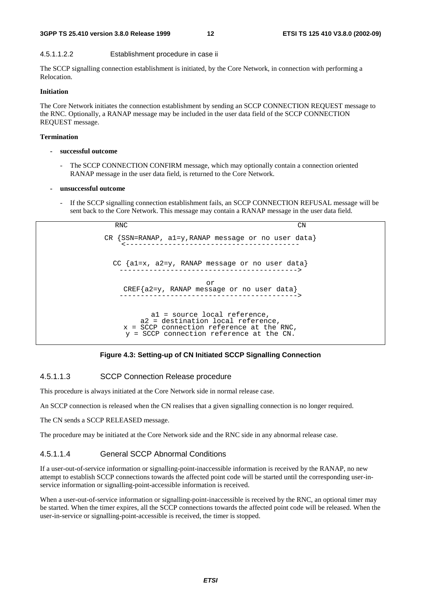#### **3GPP TS 25.410 version 3.8.0 Release 1999 12 ETSI TS 125 410 V3.8.0 (2002-09)**

#### 4.5.1.1.2.2 Establishment procedure in case ii

The SCCP signalling connection establishment is initiated, by the Core Network, in connection with performing a Relocation.

#### **Initiation**

The Core Network initiates the connection establishment by sending an SCCP CONNECTION REQUEST message to the RNC. Optionally, a RANAP message may be included in the user data field of the SCCP CONNECTION REQUEST message.

#### **Termination**

- **successful outcome** 
	- The SCCP CONNECTION CONFIRM message, which may optionally contain a connection oriented RANAP message in the user data field, is returned to the Core Network.

#### **- unsuccessful outcome**

If the SCCP signalling connection establishment fails, an SCCP CONNECTION REFUSAL message will be sent back to the Core Network. This message may contain a RANAP message in the user data field.

RNC CN CR {SSN=RANAP, a1=y,RANAP message or no user data} <----------------------------------------- CC {a1=x, a2=y, RANAP message or no user data} ------------------------------------------> or CREF{a2=y, RANAP message or no user data} ------------------------------------------> a1 = source local reference, a2 = destination local reference, x = SCCP connection reference at the RNC, y = SCCP connection reference at the CN.

#### **Figure 4.3: Setting-up of CN Initiated SCCP Signalling Connection**

#### 4.5.1.1.3 SCCP Connection Release procedure

This procedure is always initiated at the Core Network side in normal release case.

An SCCP connection is released when the CN realises that a given signalling connection is no longer required.

The CN sends a SCCP RELEASED message.

The procedure may be initiated at the Core Network side and the RNC side in any abnormal release case.

#### 4.5.1.1.4 General SCCP Abnormal Conditions

If a user-out-of-service information or signalling-point-inaccessible information is received by the RANAP, no new attempt to establish SCCP connections towards the affected point code will be started until the corresponding user-inservice information or signalling-point-accessible information is received.

When a user-out-of-service information or signalling-point-inaccessible is received by the RNC, an optional timer may be started. When the timer expires, all the SCCP connections towards the affected point code will be released. When the user-in-service or signalling-point-accessible is received, the timer is stopped.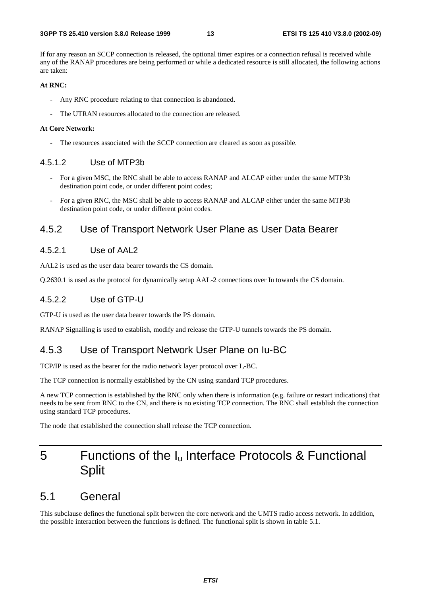If for any reason an SCCP connection is released, the optional timer expires or a connection refusal is received while any of the RANAP procedures are being performed or while a dedicated resource is still allocated, the following actions are taken:

#### **At RNC:**

- Any RNC procedure relating to that connection is abandoned.
- The UTRAN resources allocated to the connection are released.

#### **At Core Network:**

The resources associated with the SCCP connection are cleared as soon as possible.

#### 4.5.1.2 Use of MTP3b

- For a given MSC, the RNC shall be able to access RANAP and ALCAP either under the same MTP3b destination point code, or under different point codes;
- For a given RNC, the MSC shall be able to access RANAP and ALCAP either under the same MTP3b destination point code, or under different point codes.

### 4.5.2 Use of Transport Network User Plane as User Data Bearer

#### 4.5.2.1 Use of AAL2

AAL2 is used as the user data bearer towards the CS domain.

Q.2630.1 is used as the protocol for dynamically setup AAL-2 connections over Iu towards the CS domain.

#### 4.5.2.2 Use of GTP-U

GTP-U is used as the user data bearer towards the PS domain.

RANAP Signalling is used to establish, modify and release the GTP-U tunnels towards the PS domain.

#### 4.5.3 Use of Transport Network User Plane on Iu-BC

TCP/IP is used as the bearer for the radio network layer protocol over  $I_u$ -BC.

The TCP connection is normally established by the CN using standard TCP procedures.

A new TCP connection is established by the RNC only when there is information (e.g. failure or restart indications) that needs to be sent from RNC to the CN, and there is no existing TCP connection. The RNC shall establish the connection using standard TCP procedures.

The node that established the connection shall release the TCP connection.

# 5 Functions of the  $I_u$  Interface Protocols & Functional **Split**

### 5.1 General

This subclause defines the functional split between the core network and the UMTS radio access network. In addition, the possible interaction between the functions is defined. The functional split is shown in table 5.1.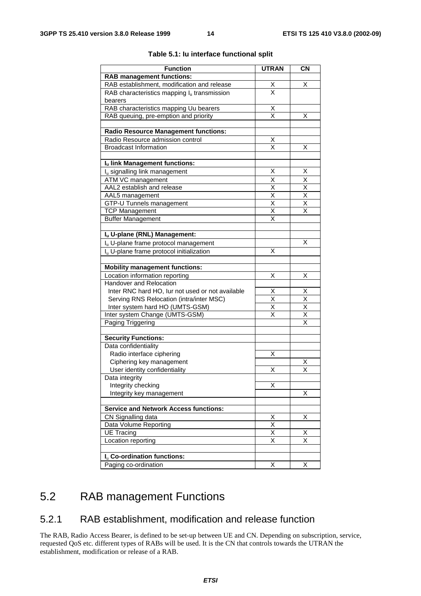| <b>Function</b>                                      | <b>UTRAN</b>                    | <b>CN</b>               |
|------------------------------------------------------|---------------------------------|-------------------------|
| <b>RAB management functions:</b>                     |                                 |                         |
| RAB establishment, modification and release          |                                 | х                       |
| RAB characteristics mapping $I_u$ transmission       | $\frac{\mathsf{X}}{\mathsf{X}}$ |                         |
| bearers                                              |                                 |                         |
| RAB characteristics mapping Uu bearers               | $\overline{\mathsf{X}}$         |                         |
| RAB queuing, pre-emption and priority                | $\overline{\mathsf{x}}$         | х                       |
| <b>Radio Resource Management functions:</b>          |                                 |                         |
| Radio Resource admission control                     | Χ                               |                         |
| <b>Broadcast Information</b>                         | $\overline{\mathsf{x}}$         | X                       |
|                                                      |                                 |                         |
| Iu link Management functions:                        |                                 |                         |
| I <sub>u</sub> signalling link management            | Χ                               | х                       |
| ATM VC management                                    | $\overline{\mathsf{X}}$         | X                       |
| AAL2 establish and release                           |                                 | $\overline{\mathsf{X}}$ |
| AAL5 management                                      | $\times$ $\times$               | $\overline{\mathsf{x}}$ |
| GTP-U Tunnels management                             |                                 | $\overline{\mathsf{x}}$ |
| <b>TCP Management</b>                                | $\overline{\mathsf{x}}$         | $\overline{\mathsf{x}}$ |
| <b>Buffer Management</b>                             | X                               |                         |
|                                                      |                                 |                         |
| Iu U-plane (RNL) Management:                         |                                 | X                       |
| I <sub>u</sub> U-plane frame protocol management     |                                 |                         |
| I <sub>n</sub> U-plane frame protocol initialization | X                               |                         |
| <b>Mobility management functions:</b>                |                                 |                         |
| Location information reporting                       | Χ                               | X                       |
| Handover and Relocation                              |                                 |                         |
| Inter RNC hard HO, lur not used or not available     | X                               | Χ                       |
| Serving RNS Relocation (intra/inter MSC)             | $\overline{\mathsf{x}}$         | $\overline{\mathsf{x}}$ |
| Inter system hard HO (UMTS-GSM)                      | $\overline{\mathsf{X}}$         | X                       |
| Inter system Change (UMTS-GSM)                       | $\overline{\mathsf{x}}$         | $\overline{\mathsf{x}}$ |
| Paging Triggering                                    |                                 | $\overline{\mathsf{x}}$ |
| <b>Security Functions:</b>                           |                                 |                         |
| Data confidentiality                                 |                                 |                         |
| Radio interface ciphering                            | Χ                               |                         |
| Ciphering key management                             |                                 | Χ                       |
| User identity confidentiality                        | Χ                               | $\overline{\mathsf{x}}$ |
| Data integrity                                       |                                 |                         |
| Integrity checking                                   | Χ                               |                         |
| Integrity key management                             |                                 | Χ                       |
|                                                      |                                 |                         |
| <b>Service and Network Access functions:</b>         |                                 |                         |
| CN Signalling data                                   | X                               | х                       |
| Data Volume Reporting                                | $\overline{\mathsf{x}}$         |                         |
| <b>UE Tracing</b>                                    | $\overline{\mathsf{x}}$         | х                       |
| Location reporting                                   | $\overline{\mathsf{x}}$         | $\overline{\mathsf{x}}$ |
| I <sub>u</sub> Co-ordination functions:              |                                 |                         |
| Paging co-ordination                                 | Χ                               | X                       |
|                                                      |                                 |                         |

#### **Table 5.1: Iu interface functional split**

# 5.2 RAB management Functions

### 5.2.1 RAB establishment, modification and release function

The RAB, Radio Access Bearer, is defined to be set-up between UE and CN. Depending on subscription, service, requested QoS etc. different types of RABs will be used. It is the CN that controls towards the UTRAN the establishment, modification or release of a RAB.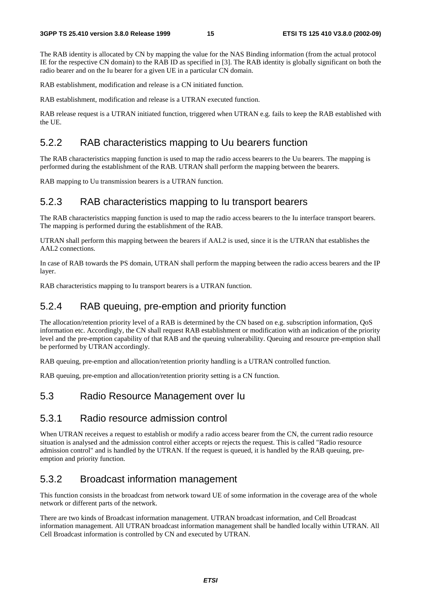The RAB identity is allocated by CN by mapping the value for the NAS Binding information (from the actual protocol IE for the respective CN domain) to the RAB ID as specified in [3]. The RAB identity is globally significant on both the radio bearer and on the Iu bearer for a given UE in a particular CN domain.

RAB establishment, modification and release is a CN initiated function.

RAB establishment, modification and release is a UTRAN executed function.

RAB release request is a UTRAN initiated function, triggered when UTRAN e.g. fails to keep the RAB established with the UE.

### 5.2.2 RAB characteristics mapping to Uu bearers function

The RAB characteristics mapping function is used to map the radio access bearers to the Uu bearers. The mapping is performed during the establishment of the RAB. UTRAN shall perform the mapping between the bearers.

RAB mapping to Uu transmission bearers is a UTRAN function.

### 5.2.3 RAB characteristics mapping to Iu transport bearers

The RAB characteristics mapping function is used to map the radio access bearers to the Iu interface transport bearers. The mapping is performed during the establishment of the RAB.

UTRAN shall perform this mapping between the bearers if AAL2 is used, since it is the UTRAN that establishes the AAL2 connections.

In case of RAB towards the PS domain, UTRAN shall perform the mapping between the radio access bearers and the IP layer.

RAB characteristics mapping to Iu transport bearers is a UTRAN function.

### 5.2.4 RAB queuing, pre-emption and priority function

The allocation/retention priority level of a RAB is determined by the CN based on e.g. subscription information, QoS information etc. Accordingly, the CN shall request RAB establishment or modification with an indication of the priority level and the pre-emption capability of that RAB and the queuing vulnerability. Queuing and resource pre-emption shall be performed by UTRAN accordingly.

RAB queuing, pre-emption and allocation/retention priority handling is a UTRAN controlled function.

RAB queuing, pre-emption and allocation/retention priority setting is a CN function.

### 5.3 Radio Resource Management over Iu

### 5.3.1 Radio resource admission control

When UTRAN receives a request to establish or modify a radio access bearer from the CN, the current radio resource situation is analysed and the admission control either accepts or rejects the request. This is called "Radio resource admission control" and is handled by the UTRAN. If the request is queued, it is handled by the RAB queuing, preemption and priority function.

#### 5.3.2 Broadcast information management

This function consists in the broadcast from network toward UE of some information in the coverage area of the whole network or different parts of the network.

There are two kinds of Broadcast information management. UTRAN broadcast information, and Cell Broadcast information management. All UTRAN broadcast information management shall be handled locally within UTRAN. All Cell Broadcast information is controlled by CN and executed by UTRAN.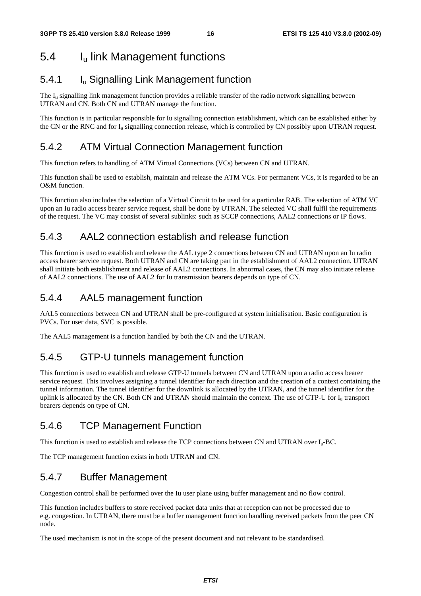# 5.4 Iu link Management functions

### 5.4.1 Iu Signalling Link Management function

The  $I<sub>u</sub>$  signalling link management function provides a reliable transfer of the radio network signalling between UTRAN and CN. Both CN and UTRAN manage the function.

This function is in particular responsible for Iu signalling connection establishment, which can be established either by the CN or the RNC and for  $I_u$  signalling connection release, which is controlled by CN possibly upon UTRAN request.

### 5.4.2 ATM Virtual Connection Management function

This function refers to handling of ATM Virtual Connections (VCs) between CN and UTRAN.

This function shall be used to establish, maintain and release the ATM VCs. For permanent VCs, it is regarded to be an O&M function.

This function also includes the selection of a Virtual Circuit to be used for a particular RAB. The selection of ATM VC upon an Iu radio access bearer service request, shall be done by UTRAN. The selected VC shall fulfil the requirements of the request. The VC may consist of several sublinks: such as SCCP connections, AAL2 connections or IP flows.

### 5.4.3 AAL2 connection establish and release function

This function is used to establish and release the AAL type 2 connections between CN and UTRAN upon an Iu radio access bearer service request. Both UTRAN and CN are taking part in the establishment of AAL2 connection. UTRAN shall initiate both establishment and release of AAL2 connections. In abnormal cases, the CN may also initiate release of AAL2 connections. The use of AAL2 for Iu transmission bearers depends on type of CN.

### 5.4.4 AAL5 management function

AAL5 connections between CN and UTRAN shall be pre-configured at system initialisation. Basic configuration is PVCs. For user data, SVC is possible.

The AAL5 management is a function handled by both the CN and the UTRAN.

### 5.4.5 GTP-U tunnels management function

This function is used to establish and release GTP-U tunnels between CN and UTRAN upon a radio access bearer service request. This involves assigning a tunnel identifier for each direction and the creation of a context containing the tunnel information. The tunnel identifier for the downlink is allocated by the UTRAN, and the tunnel identifier for the uplink is allocated by the CN. Both CN and UTRAN should maintain the context. The use of GTP-U for  $I<sub>u</sub>$  transport bearers depends on type of CN.

### 5.4.6 TCP Management Function

This function is used to establish and release the TCP connections between CN and UTRAN over  $I_{u}$ -BC.

The TCP management function exists in both UTRAN and CN.

### 5.4.7 Buffer Management

Congestion control shall be performed over the Iu user plane using buffer management and no flow control.

This function includes buffers to store received packet data units that at reception can not be processed due to e.g. congestion. In UTRAN, there must be a buffer management function handling received packets from the peer CN node.

The used mechanism is not in the scope of the present document and not relevant to be standardised.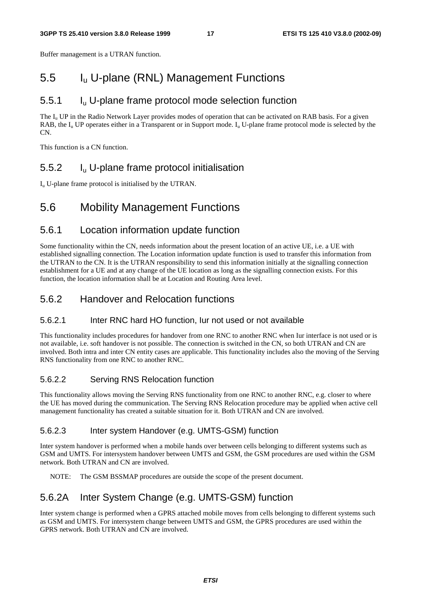Buffer management is a UTRAN function.

### 5.5 Iu U-plane (RNL) Management Functions

### 5.5.1 Iu U-plane frame protocol mode selection function

The  $I_{\rm u}$  UP in the Radio Network Layer provides modes of operation that can be activated on RAB basis. For a given RAB, the  $I_{\text{u}}$  UP operates either in a Transparent or in Support mode.  $I_{\text{u}}$  U-plane frame protocol mode is selected by the CN.

This function is a CN function.

### 5.5.2 Iu U-plane frame protocol initialisation

 $I<sub>u</sub>$  U-plane frame protocol is initialised by the UTRAN.

### 5.6 Mobility Management Functions

### 5.6.1 Location information update function

Some functionality within the CN, needs information about the present location of an active UE, i.e. a UE with established signalling connection. The Location information update function is used to transfer this information from the UTRAN to the CN. It is the UTRAN responsibility to send this information initially at the signalling connection establishment for a UE and at any change of the UE location as long as the signalling connection exists. For this function, the location information shall be at Location and Routing Area level.

### 5.6.2 Handover and Relocation functions

#### 5.6.2.1 Inter RNC hard HO function, Iur not used or not available

This functionality includes procedures for handover from one RNC to another RNC when Iur interface is not used or is not available, i.e. soft handover is not possible. The connection is switched in the CN, so both UTRAN and CN are involved. Both intra and inter CN entity cases are applicable. This functionality includes also the moving of the Serving RNS functionality from one RNC to another RNC.

#### 5.6.2.2 Serving RNS Relocation function

This functionality allows moving the Serving RNS functionality from one RNC to another RNC, e.g. closer to where the UE has moved during the communication. The Serving RNS Relocation procedure may be applied when active cell management functionality has created a suitable situation for it. Both UTRAN and CN are involved.

#### 5.6.2.3 Inter system Handover (e.g. UMTS-GSM) function

Inter system handover is performed when a mobile hands over between cells belonging to different systems such as GSM and UMTS. For intersystem handover between UMTS and GSM, the GSM procedures are used within the GSM network. Both UTRAN and CN are involved.

NOTE: The GSM BSSMAP procedures are outside the scope of the present document.

### 5.6.2A Inter System Change (e.g. UMTS-GSM) function

Inter system change is performed when a GPRS attached mobile moves from cells belonging to different systems such as GSM and UMTS. For intersystem change between UMTS and GSM, the GPRS procedures are used within the GPRS network. Both UTRAN and CN are involved.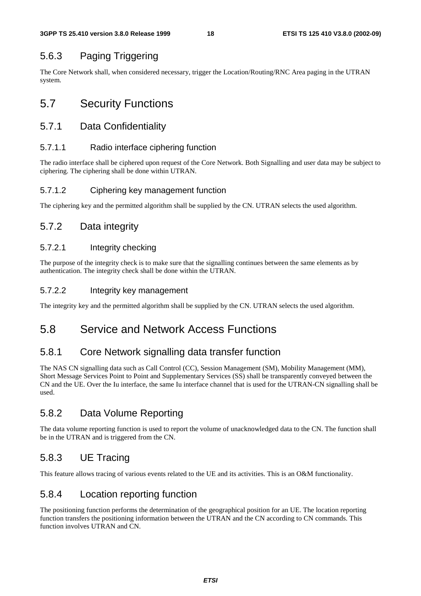### 5.6.3 Paging Triggering

The Core Network shall, when considered necessary, trigger the Location/Routing/RNC Area paging in the UTRAN system.

# 5.7 Security Functions

### 5.7.1 Data Confidentiality

#### 5.7.1.1 Radio interface ciphering function

The radio interface shall be ciphered upon request of the Core Network. Both Signalling and user data may be subject to ciphering. The ciphering shall be done within UTRAN.

#### 5.7.1.2 Ciphering key management function

The ciphering key and the permitted algorithm shall be supplied by the CN. UTRAN selects the used algorithm.

### 5.7.2 Data integrity

#### 5.7.2.1 Integrity checking

The purpose of the integrity check is to make sure that the signalling continues between the same elements as by authentication. The integrity check shall be done within the UTRAN.

#### 5.7.2.2 Integrity key management

The integrity key and the permitted algorithm shall be supplied by the CN. UTRAN selects the used algorithm.

### 5.8 Service and Network Access Functions

### 5.8.1 Core Network signalling data transfer function

The NAS CN signalling data such as Call Control (CC), Session Management (SM), Mobility Management (MM), Short Message Services Point to Point and Supplementary Services (SS) shall be transparently conveyed between the CN and the UE. Over the Iu interface, the same Iu interface channel that is used for the UTRAN-CN signalling shall be used.

### 5.8.2 Data Volume Reporting

The data volume reporting function is used to report the volume of unacknowledged data to the CN. The function shall be in the UTRAN and is triggered from the CN.

### 5.8.3 UE Tracing

This feature allows tracing of various events related to the UE and its activities. This is an O&M functionality.

### 5.8.4 Location reporting function

The positioning function performs the determination of the geographical position for an UE. The location reporting function transfers the positioning information between the UTRAN and the CN according to CN commands. This function involves UTRAN and CN.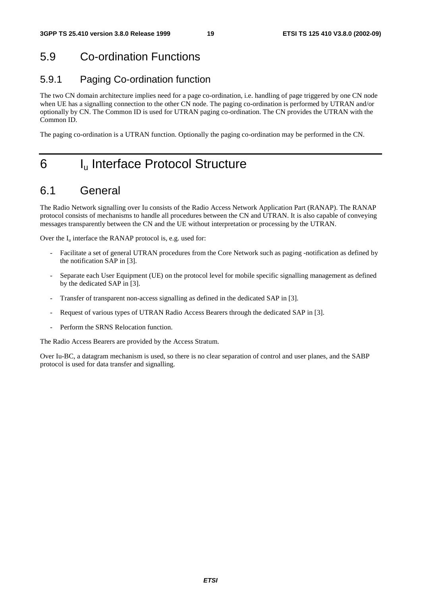# 5.9 Co-ordination Functions

### 5.9.1 Paging Co-ordination function

The two CN domain architecture implies need for a page co-ordination, i.e. handling of page triggered by one CN node when UE has a signalling connection to the other CN node. The paging co-ordination is performed by UTRAN and/or optionally by CN. The Common ID is used for UTRAN paging co-ordination. The CN provides the UTRAN with the Common ID.

The paging co-ordination is a UTRAN function. Optionally the paging co-ordination may be performed in the CN.

# 6 I<sub>u</sub> Interface Protocol Structure

### 6.1 General

The Radio Network signalling over Iu consists of the Radio Access Network Application Part (RANAP). The RANAP protocol consists of mechanisms to handle all procedures between the CN and UTRAN. It is also capable of conveying messages transparently between the CN and the UE without interpretation or processing by the UTRAN.

Over the  $I_u$  interface the RANAP protocol is, e.g. used for:

- Facilitate a set of general UTRAN procedures from the Core Network such as paging -notification as defined by the notification SAP in [3].
- Separate each User Equipment (UE) on the protocol level for mobile specific signalling management as defined by the dedicated SAP in [3].
- Transfer of transparent non-access signalling as defined in the dedicated SAP in [3].
- Request of various types of UTRAN Radio Access Bearers through the dedicated SAP in [3].
- Perform the SRNS Relocation function.

The Radio Access Bearers are provided by the Access Stratum.

Over Iu-BC, a datagram mechanism is used, so there is no clear separation of control and user planes, and the SABP protocol is used for data transfer and signalling.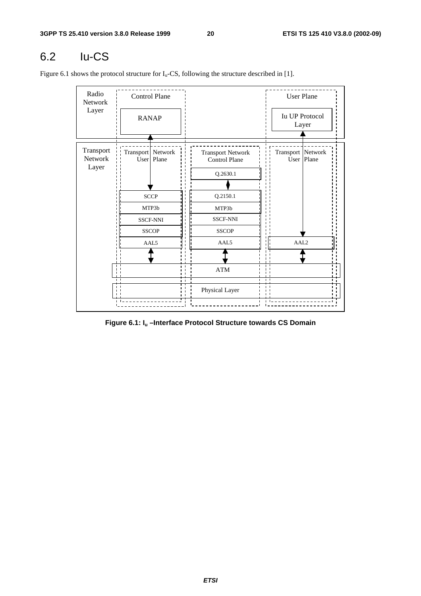# 6.2 Iu-CS

Figure 6.1 shows the protocol structure for  $I_u$ -CS, following the structure described in [1].

| Radio<br>Network<br>Layer     | <b>RANAP</b>               | Control Plane                                                           | <b>User Plane</b><br><b>Iu UP Protocol</b><br>Layer                                                                  |                                   |  |
|-------------------------------|----------------------------|-------------------------------------------------------------------------|----------------------------------------------------------------------------------------------------------------------|-----------------------------------|--|
| Transport<br>Network<br>Layer | Transport Network          | User   Plane<br><b>SCCP</b><br>MTP3b<br><b>SSCF-NNI</b><br><b>SSCOP</b> | <b>Transport Network</b><br><b>Control Plane</b><br>Q.2630.1<br>Q.2150.1<br>MTP3b<br><b>SSCF-NNI</b><br><b>SSCOP</b> | Transport Network<br>User   Plane |  |
|                               | AAL5<br>пI<br>$\mathbf{I}$ | AAL5<br><b>ATM</b><br>Physical Layer                                    | AAL <sub>2</sub><br>$\blacksquare$                                                                                   |                                   |  |

**Figure 6.1: Iu –Interface Protocol Structure towards CS Domain**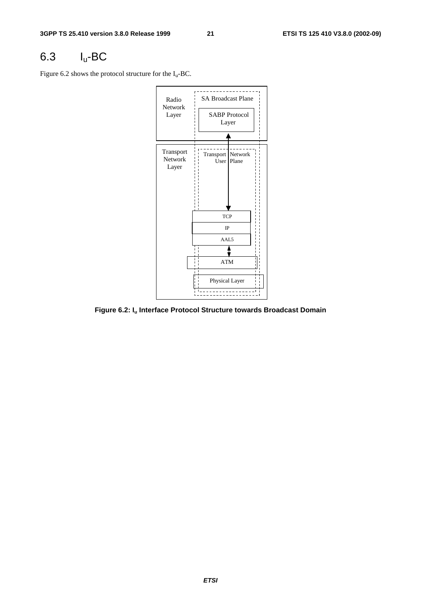# 6.3 Iu-BC

Figure 6.2 shows the protocol structure for the  $I_u$ -BC.



**Figure 6.2: Iu Interface Protocol Structure towards Broadcast Domain**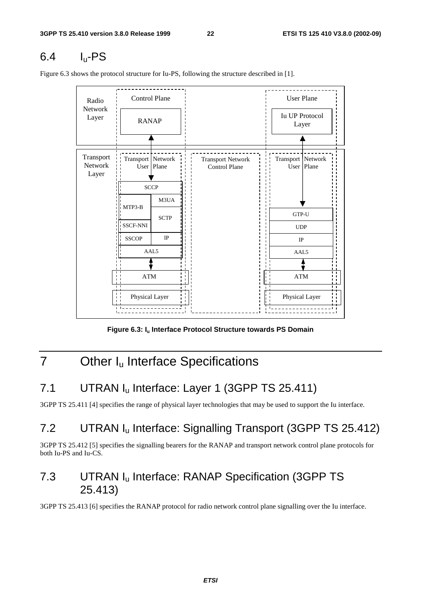# $6.4$  I<sub>u</sub>-PS

<u> - - - - - - - - - - -</u> Control Plane (User Plane Radio Network Iu UP Protocol Layer RANAP Layer Transport Transport Network Transport Network Transport Network Network User Plane Control Plane User Plane Layer **SCCP** M3UA MTP3-B GTP-U **SCTP** SSCF-NNI SSCF-NNI UDP IP **SSCOP** IP AAL5 AAL5 ATM ATM Physical Layer Physical Layer

Figure 6.3 shows the protocol structure for Iu-PS, following the structure described in [1].

Figure 6.3: I<sub>u</sub> Interface Protocol Structure towards PS Domain

# 7 Other I<sub>u</sub> Interface Specifications

# 7.1 UTRAN I<sub>u</sub> Interface: Layer 1 (3GPP TS 25.411)

3GPP TS 25.411 [4] specifies the range of physical layer technologies that may be used to support the Iu interface.

# 7.2 UTRAN Iu Interface: Signalling Transport (3GPP TS 25.412)

3GPP TS 25.412 [5] specifies the signalling bearers for the RANAP and transport network control plane protocols for both Iu-PS and Iu-CS.

### 7.3 UTRAN Iu Interface: RANAP Specification (3GPP TS 25.413)

3GPP TS 25.413 [6] specifies the RANAP protocol for radio network control plane signalling over the Iu interface.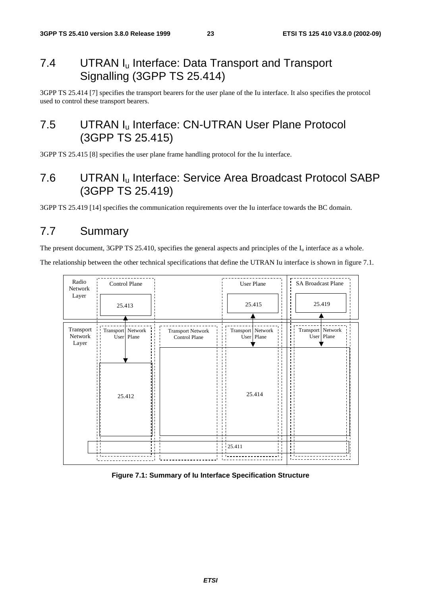### 7.4 UTRAN I<sub>u</sub> Interface: Data Transport and Transport Signalling (3GPP TS 25.414)

3GPP TS 25.414 [7] specifies the transport bearers for the user plane of the Iu interface. It also specifies the protocol used to control these transport bearers.

### 7.5 UTRAN I<sub>u</sub> Interface: CN-UTRAN User Plane Protocol (3GPP TS 25.415)

3GPP TS 25.415 [8] specifies the user plane frame handling protocol for the Iu interface.

### 7.6 UTRAN Iu Interface: Service Area Broadcast Protocol SABP (3GPP TS 25.419)

3GPP TS 25.419 [14] specifies the communication requirements over the Iu interface towards the BC domain.

## 7.7 Summary

The present document, 3GPP TS 25.410, specifies the general aspects and principles of the  $I_u$  interface as a whole.

The relationship between the other technical specifications that define the UTRAN Iu interface is shown in figure 7.1.



**Figure 7.1: Summary of Iu Interface Specification Structure**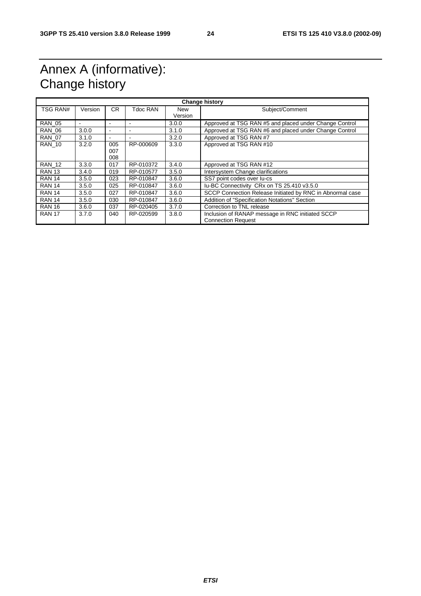# Annex A (informative): Change history

| <b>Change history</b> |         |                          |           |                |                                                                               |
|-----------------------|---------|--------------------------|-----------|----------------|-------------------------------------------------------------------------------|
| <b>TSG RAN#</b>       | Version | CR.                      | Tdoc RAN  | New<br>Version | Subject/Comment                                                               |
| <b>RAN 05</b>         |         | ÷                        |           | 3.0.0          | Approved at TSG RAN #5 and placed under Change Control                        |
| <b>RAN 06</b>         | 3.0.0   | $\overline{\phantom{a}}$ |           | 3.1.0          | Approved at TSG RAN #6 and placed under Change Control                        |
| <b>RAN 07</b>         | 3.1.0   | $\overline{\phantom{a}}$ |           | 3.2.0          | Approved at TSG RAN #7                                                        |
| <b>RAN 10</b>         | 3.2.0   | 005<br>007<br>008        | RP-000609 | 3.3.0          | Approved at TSG RAN #10                                                       |
| <b>RAN 12</b>         | 3.3.0   | 017                      | RP-010372 | 3.4.0          | Approved at TSG RAN #12                                                       |
| <b>RAN 13</b>         | 3.4.0   | 019                      | RP-010577 | 3.5.0          | Intersystem Change clarifications                                             |
| <b>RAN 14</b>         | 3.5.0   | 023                      | RP-010847 | 3.6.0          | SS7 point codes over lu-cs                                                    |
| <b>RAN 14</b>         | 3.5.0   | 025                      | RP-010847 | 3.6.0          | Iu-BC Connectivity CRx on TS 25.410 v3.5.0                                    |
| <b>RAN 14</b>         | 3.5.0   | 027                      | RP-010847 | 3.6.0          | SCCP Connection Release Initiated by RNC in Abnormal case                     |
| <b>RAN 14</b>         | 3.5.0   | 030                      | RP-010847 | 3.6.0          | Addition of "Specification Notations" Section                                 |
| <b>RAN 16</b>         | 3.6.0   | 037                      | RP-020405 | 3.7.0          | Correction to TNL release                                                     |
| <b>RAN 17</b>         | 3.7.0   | 040                      | RP-020599 | 3.8.0          | Inclusion of RANAP message in RNC initiated SCCP<br><b>Connection Request</b> |